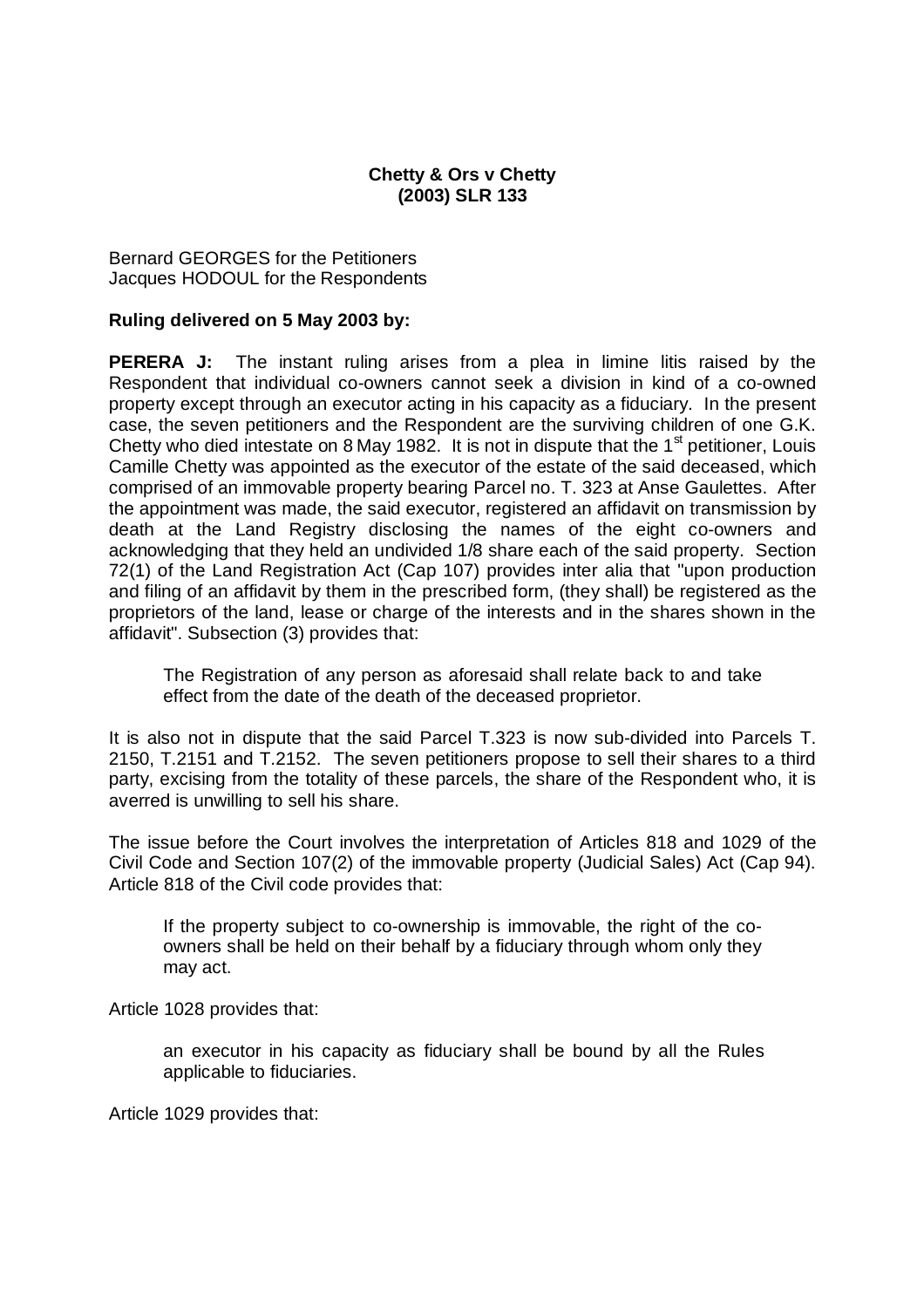## **Chetty & Ors v Chetty (2003) SLR 133**

Bernard GEORGES for the Petitioners Jacques HODOUL for the Respondents

## **Ruling delivered on 5 May 2003 by:**

**PERERA J:** The instant ruling arises from a plea in limine litis raised by the Respondent that individual co-owners cannot seek a division in kind of a co-owned property except through an executor acting in his capacity as a fiduciary. In the present case, the seven petitioners and the Respondent are the surviving children of one G.K. Chetty who died intestate on 8 May 1982. It is not in dispute that the 1<sup>st</sup> petitioner, Louis Camille Chetty was appointed as the executor of the estate of the said deceased, which comprised of an immovable property bearing Parcel no. T. 323 at Anse Gaulettes. After the appointment was made, the said executor, registered an affidavit on transmission by death at the Land Registry disclosing the names of the eight co-owners and acknowledging that they held an undivided 1/8 share each of the said property. Section 72(1) of the Land Registration Act (Cap 107) provides inter alia that "upon production and filing of an affidavit by them in the prescribed form, (they shall) be registered as the proprietors of the land, lease or charge of the interests and in the shares shown in the affidavit". Subsection (3) provides that:

The Registration of any person as aforesaid shall relate back to and take effect from the date of the death of the deceased proprietor.

It is also not in dispute that the said Parcel T.323 is now sub-divided into Parcels T. 2150, T.2151 and T.2152. The seven petitioners propose to sell their shares to a third party, excising from the totality of these parcels, the share of the Respondent who, it is averred is unwilling to sell his share.

The issue before the Court involves the interpretation of Articles 818 and 1029 of the Civil Code and Section 107(2) of the immovable property (Judicial Sales) Act (Cap 94). Article 818 of the Civil code provides that:

If the property subject to co-ownership is immovable, the right of the coowners shall be held on their behalf by a fiduciary through whom only they may act.

Article 1028 provides that:

an executor in his capacity as fiduciary shall be bound by all the Rules applicable to fiduciaries.

Article 1029 provides that: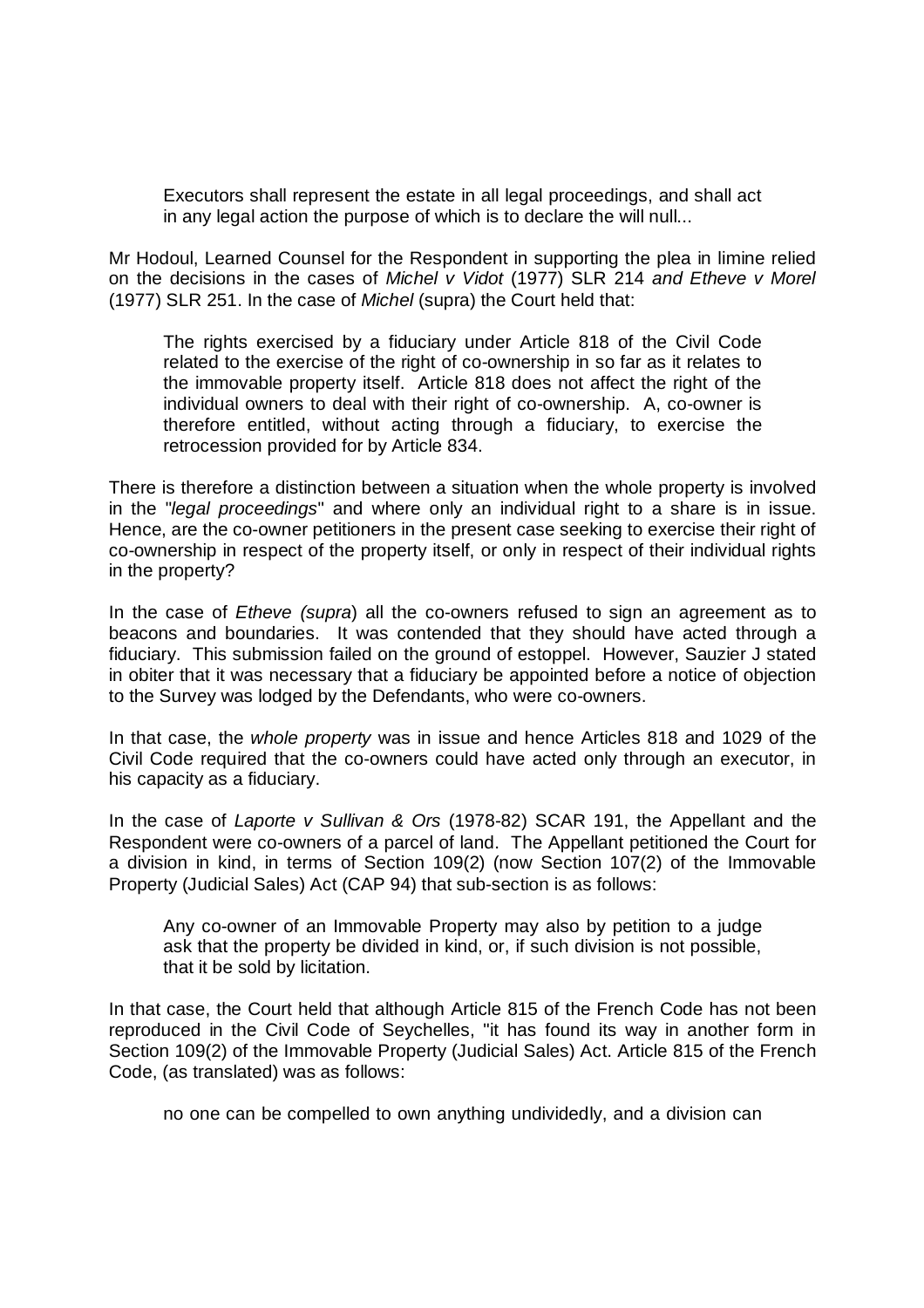Executors shall represent the estate in all legal proceedings, and shall act in any legal action the purpose of which is to declare the will null...

Mr Hodoul, Learned Counsel for the Respondent in supporting the plea in limine relied on the decisions in the cases of *Michel v Vidot* (1977) SLR 214 *and Etheve v Morel*  (1977) SLR 251. In the case of *Michel* (supra) the Court held that:

The rights exercised by a fiduciary under Article 818 of the Civil Code related to the exercise of the right of co-ownership in so far as it relates to the immovable property itself. Article 818 does not affect the right of the individual owners to deal with their right of co-ownership. A, co-owner is therefore entitled, without acting through a fiduciary, to exercise the retrocession provided for by Article 834.

There is therefore a distinction between a situation when the whole property is involved in the "*legal proceedings*" and where only an individual right to a share is in issue. Hence, are the co-owner petitioners in the present case seeking to exercise their right of co-ownership in respect of the property itself, or only in respect of their individual rights in the property?

In the case of *Etheve (supra*) all the co-owners refused to sign an agreement as to beacons and boundaries. It was contended that they should have acted through a fiduciary. This submission failed on the ground of estoppel. However, Sauzier J stated in obiter that it was necessary that a fiduciary be appointed before a notice of objection to the Survey was lodged by the Defendants, who were co-owners.

In that case, the *whole property* was in issue and hence Articles 818 and 1029 of the Civil Code required that the co-owners could have acted only through an executor, in his capacity as a fiduciary.

In the case of *Laporte v Sullivan & Ors* (1978-82) SCAR 191, the Appellant and the Respondent were co-owners of a parcel of land. The Appellant petitioned the Court for a division in kind, in terms of Section 109(2) (now Section 107(2) of the Immovable Property (Judicial Sales) Act (CAP 94) that sub-section is as follows:

Any co-owner of an Immovable Property may also by petition to a judge ask that the property be divided in kind, or, if such division is not possible, that it be sold by licitation.

In that case, the Court held that although Article 815 of the French Code has not been reproduced in the Civil Code of Seychelles, "it has found its way in another form in Section 109(2) of the Immovable Property (Judicial Sales) Act. Article 815 of the French Code, (as translated) was as follows:

no one can be compelled to own anything undividedly, and a division can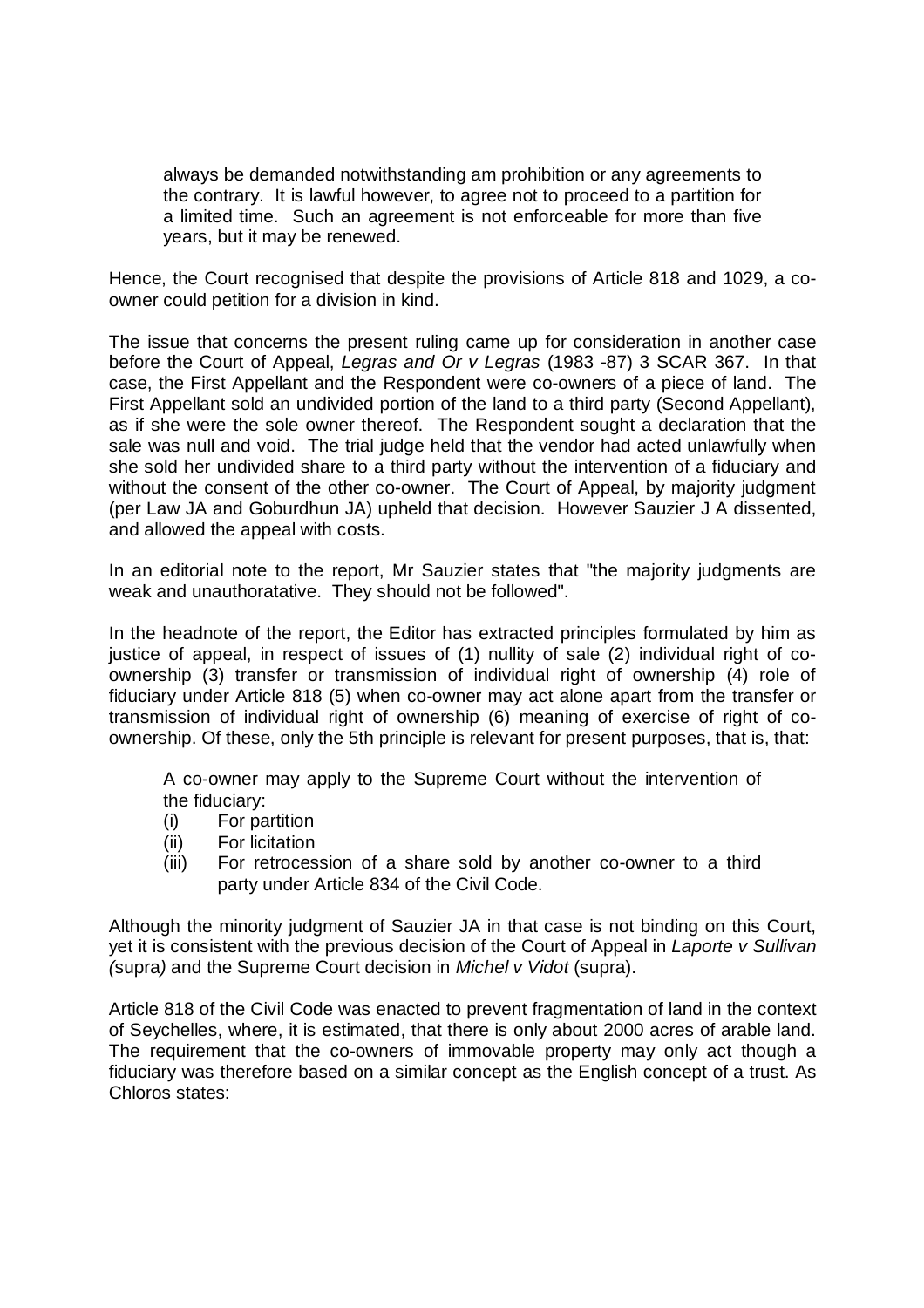always be demanded notwithstanding am prohibition or any agreements to the contrary. It is lawful however, to agree not to proceed to a partition for a limited time. Such an agreement is not enforceable for more than five years, but it may be renewed.

Hence, the Court recognised that despite the provisions of Article 818 and 1029, a coowner could petition for a division in kind.

The issue that concerns the present ruling came up for consideration in another case before the Court of Appeal, *Legras and Or v Legras* (1983 -87) 3 SCAR 367. In that case, the First Appellant and the Respondent were co-owners of a piece of land. The First Appellant sold an undivided portion of the land to a third party (Second Appellant), as if she were the sole owner thereof. The Respondent sought a declaration that the sale was null and void. The trial judge held that the vendor had acted unlawfully when she sold her undivided share to a third party without the intervention of a fiduciary and without the consent of the other co-owner. The Court of Appeal, by majority judgment (per Law JA and Goburdhun JA) upheld that decision. However Sauzier J A dissented, and allowed the appeal with costs.

In an editorial note to the report, Mr Sauzier states that "the majority judgments are weak and unauthoratative. They should not be followed".

In the headnote of the report, the Editor has extracted principles formulated by him as justice of appeal, in respect of issues of (1) nullity of sale (2) individual right of coownership (3) transfer or transmission of individual right of ownership (4) role of fiduciary under Article 818 (5) when co-owner may act alone apart from the transfer or transmission of individual right of ownership (6) meaning of exercise of right of coownership. Of these, only the 5th principle is relevant for present purposes, that is, that:

A co-owner may apply to the Supreme Court without the intervention of the fiduciary:

- (i) For partition
- (ii) For licitation
- (iii) For retrocession of a share sold by another co-owner to a third party under Article 834 of the Civil Code.

Although the minority judgment of Sauzier JA in that case is not binding on this Court, yet it is consistent with the previous decision of the Court of Appeal in *Laporte v Sullivan (*supra*)* and the Supreme Court decision in *Michel v Vidot* (supra).

Article 818 of the Civil Code was enacted to prevent fragmentation of land in the context of Seychelles, where, it is estimated, that there is only about 2000 acres of arable land. The requirement that the co-owners of immovable property may only act though a fiduciary was therefore based on a similar concept as the English concept of a trust. As Chloros states: